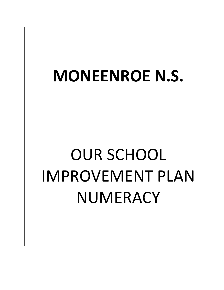## **MONEENROE N.S.**

## OUR SCHOOL IMPROVEMENT PLAN NUMERACY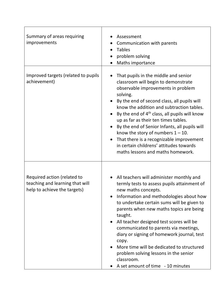| Summary of areas requiring<br>improvements                                                     | Assessment<br>Communication with parents<br><b>Tables</b><br>problem solving<br>Maths importance                                                                                                                                                                                                                                                                                                                                                                                                                                                    |
|------------------------------------------------------------------------------------------------|-----------------------------------------------------------------------------------------------------------------------------------------------------------------------------------------------------------------------------------------------------------------------------------------------------------------------------------------------------------------------------------------------------------------------------------------------------------------------------------------------------------------------------------------------------|
| Improved targets (related to pupils<br>achievement)                                            | That pupils in the middle and senior<br>classroom will begin to demonstrate<br>observable improvements in problem<br>solving.<br>By the end of second class, all pupils will<br>know the addition and subtraction tables.<br>By the end of 4 <sup>th</sup> class, all pupils will know<br>up as far as their ten times tables.<br>By the end of Senior Infants, all pupils will<br>know the story of numbers $1 - 10$ .<br>That there is a recognizable improvement<br>in certain childrens' attitudes towards<br>maths lessons and maths homework. |
| Required action (related to<br>teaching and learning that will<br>help to achieve the targets) | All teachers will administer monthly and<br>termly tests to assess pupils attainment of<br>new maths concepts.<br>Information and methodologies about how<br>to undertake certain sums will be given to<br>parents when new maths topics are being<br>taught.<br>All teacher designed test scores will be<br>communicated to parents via meetings,<br>diary or signing of homework journal, test<br>copy.<br>More time will be dedicated to structured<br>problem solving lessons in the senior<br>classroom.<br>A set amount of time - 10 minutes  |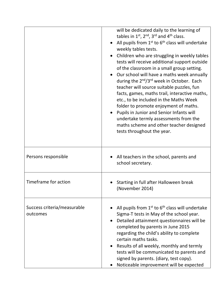|                                         | will be dedicated daily to the learning of<br>tables in $1^{st}$ , $2^{nd}$ , $3^{rd}$ and $4^{th}$ class.<br>All pupils from $1st$ to $6th$ class will undertake<br>weekly tables tests.<br>Children who are struggling in weekly tables<br>tests will receive additional support outside<br>of the classroom in a small group setting.<br>Our school will have a maths week annually<br>during the 2 <sup>nd</sup> /3 <sup>rd</sup> week in October. Each<br>teacher will source suitable puzzles, fun<br>facts, games, maths trail, interactive maths,<br>etc., to be included in the Maths Week<br>folder to promote enjoyment of maths.<br>Pupils in Junior and Senior Infants will<br>undertake termly assessments from the<br>maths scheme and other teacher designed<br>tests throughout the year. |
|-----------------------------------------|------------------------------------------------------------------------------------------------------------------------------------------------------------------------------------------------------------------------------------------------------------------------------------------------------------------------------------------------------------------------------------------------------------------------------------------------------------------------------------------------------------------------------------------------------------------------------------------------------------------------------------------------------------------------------------------------------------------------------------------------------------------------------------------------------------|
| Persons responsible                     | All teachers in the school, parents and<br>school secretary.                                                                                                                                                                                                                                                                                                                                                                                                                                                                                                                                                                                                                                                                                                                                               |
| Timeframe for action                    | Starting in full after Halloween break<br>(November 2014)                                                                                                                                                                                                                                                                                                                                                                                                                                                                                                                                                                                                                                                                                                                                                  |
| Success criteria/measurable<br>outcomes | All pupils from $1^{st}$ to $6^{th}$ class will undertake<br>Sigma-T tests in May of the school year.<br>Detailed attainment questionnaires will be<br>completed by parents in June 2015<br>regarding the child's ability to complete<br>certain maths tasks.<br>Results of all weekly, monthly and termly<br>tests will be communicated to parents and<br>signed by parents. (diary, test copy).<br>Noticeable improvement will be expected                                                                                                                                                                                                                                                                                                                                                               |